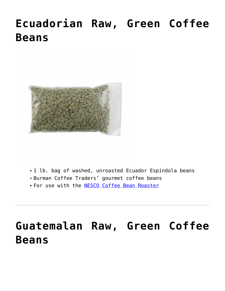# **[Ecuadorian Raw, Green Coffee](https://www.nesco.com/product/ecuadorian-raw-green-coffee-beans/) [Beans](https://www.nesco.com/product/ecuadorian-raw-green-coffee-beans/)**



- 1 lb. bag of washed, unroasted Ecuador Espíndola beans
- Burman Coffee Traders' gourmet coffee beans
- For use with the [NESCO Coffee Bean Roaster](https://www.nesco.com/product/coffee-bean-roaster/)

# **[Guatemalan Raw, Green Coffee](https://www.nesco.com/product/guatemalan-raw-green-coffee-beans/) [Beans](https://www.nesco.com/product/guatemalan-raw-green-coffee-beans/)**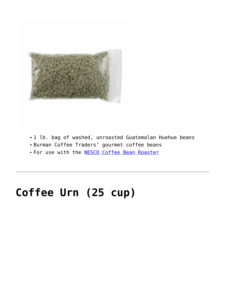

- 1 lb. bag of washed, unroasted Guatemalan Huehue beans
- Burman Coffee Traders' gourmet coffee beans
- For use with the **NESCO Coffee Bean Roaster**

### **[Coffee Urn \(25 cup\)](https://www.nesco.com/product/coffee-urn-25-cup/)**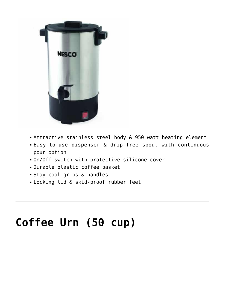

- Attractive stainless steel body & 950 watt heating element
- Easy-to-use dispenser & drip-free spout with continuous pour option
- On/Off switch with protective silicone cover
- Durable plastic coffee basket
- Stay-cool grips & handles
- Locking lid & skid-proof rubber feet

## **[Coffee Urn \(50 cup\)](https://www.nesco.com/product/coffee-urn-50-cup/)**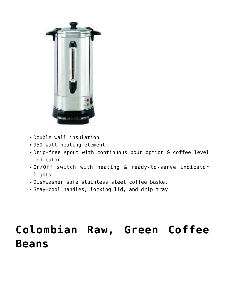

- Double wall insulation
- 950 watt heating element
- Drip-free spout with continuous pour option & coffee level indicator
- On/Off switch with heating & ready-to-serve indicator lights
- Dishwasher safe stainless steel coffee basket
- Stay-cool handles, locking lid, and drip tray

# **[Colombian Raw, Green Coffee](https://www.nesco.com/product/colombian-raw-green-coffee-beans/) [Beans](https://www.nesco.com/product/colombian-raw-green-coffee-beans/)**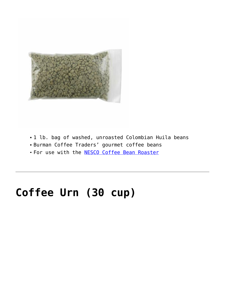

- 1 lb. bag of washed, unroasted Colombian Huila beans
- Burman Coffee Traders' gourmet coffee beans
- For use with the **NESCO Coffee Bean Roaster**

### **[Coffee Urn \(30 cup\)](https://www.nesco.com/product/coffee-urn-30-cup/)**